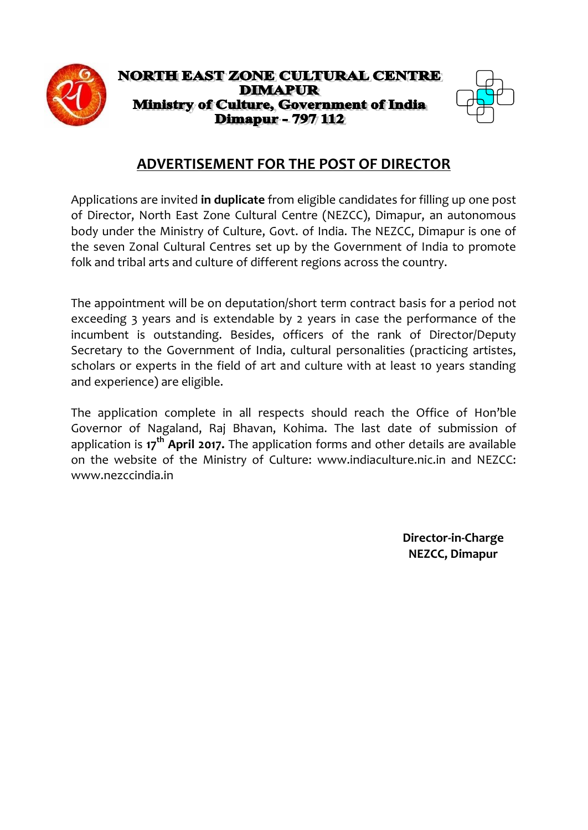

### **NORTH EAST ZONE CULTURAL CENTRE DIMAPUR** Ministry of Culture, Government of India **Dimapur - 797 112**



# **ADVERTISEMENT FOR THE POST OF DIRECTOR**

Applications are invited **in duplicate** from eligible candidates for filling up one post of Director, North East Zone Cultural Centre (NEZCC), Dimapur, an autonomous body under the Ministry of Culture, Govt. of India. The NEZCC, Dimapur is one of the seven Zonal Cultural Centres set up by the Government of India to promote folk and tribal arts and culture of different regions across the country.

The appointment will be on deputation/short term contract basis for a period not exceeding 3 years and is extendable by 2 years in case the performance of the incumbent is outstanding. Besides, officers of the rank of Director/Deputy Secretary to the Government of India, cultural personalities (practicing artistes, scholars or experts in the field of art and culture with at least 10 years standing and experience) are eligible.

The application complete in all respects should reach the Office of Hon'ble Governor of Nagaland, Raj Bhavan, Kohima. The last date of submission of application is **17th April 2017.** The application forms and other details are available on the website of the Ministry of Culture: www.indiaculture.nic.in and NEZCC: www.nezccindia.in

> **Director-in-Charge NEZCC, Dimapur**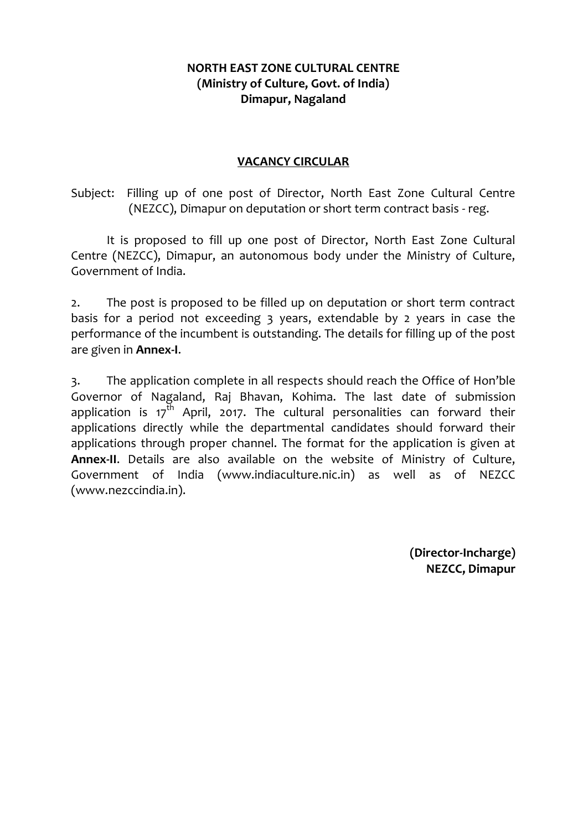### **NORTH EAST ZONE CULTURAL CENTRE (Ministry of Culture, Govt. of India) Dimapur, Nagaland**

### **VACANCY CIRCULAR**

Subject: Filling up of one post of Director, North East Zone Cultural Centre (NEZCC), Dimapur on deputation or short term contract basis - reg.

It is proposed to fill up one post of Director, North East Zone Cultural Centre (NEZCC), Dimapur, an autonomous body under the Ministry of Culture, Government of India.

2. The post is proposed to be filled up on deputation or short term contract basis for a period not exceeding 3 years, extendable by 2 years in case the performance of the incumbent is outstanding. The details for filling up of the post are given in **Annex-I**.

3. The application complete in all respects should reach the Office of Hon'ble Governor of Nagaland, Raj Bhavan, Kohima. The last date of submission application is  $17<sup>th</sup>$  April, 2017. The cultural personalities can forward their applications directly while the departmental candidates should forward their applications through proper channel. The format for the application is given at **Annex-II**. Details are also available on the website of Ministry of Culture, Government of India (www.indiaculture.nic.in) as well as of NEZCC (www.nezccindia.in).

> **(Director-Incharge) NEZCC, Dimapur**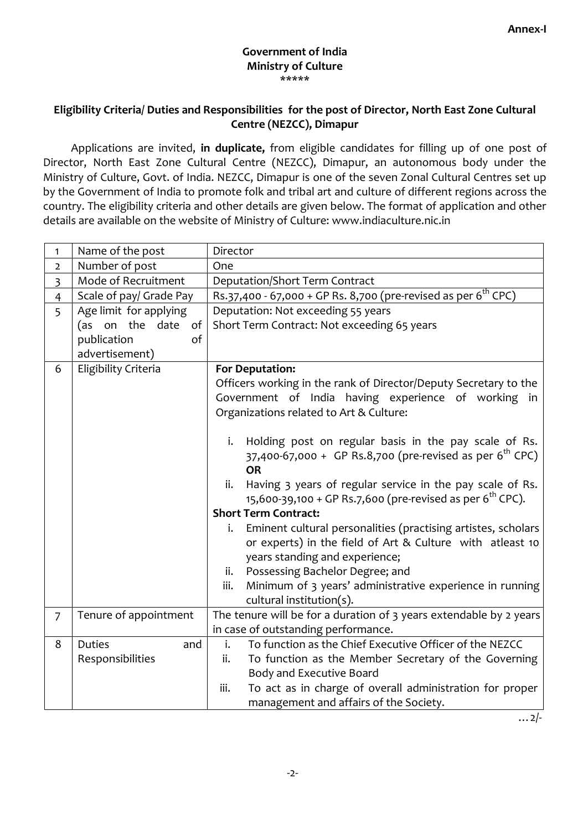#### **Government of India Ministry of Culture** \*\*\*\*\*

### **Eligibility Criteria/ Duties and Responsibilities for the post of Director, North East Zone Cultural Centre (NEZCC), Dimapur**

Applications are invited, **in duplicate,** from eligible candidates for filling up of one post of Director, North East Zone Cultural Centre (NEZCC), Dimapur, an autonomous body under the Ministry of Culture, Govt. of India. NEZCC, Dimapur is one of the seven Zonal Cultural Centres set up by the Government of India to promote folk and tribal art and culture of different regions across the country. The eligibility criteria and other details are given below. The format of application and other details are available on the website of Ministry of Culture: www.indiaculture.nic.in

| $\mathbf{1}$            | Name of the post        | Director                                                                                                                                  |  |  |  |  |  |
|-------------------------|-------------------------|-------------------------------------------------------------------------------------------------------------------------------------------|--|--|--|--|--|
| $\overline{2}$          | Number of post          | One                                                                                                                                       |  |  |  |  |  |
| $\overline{\mathbf{3}}$ | Mode of Recruitment     | Deputation/Short Term Contract                                                                                                            |  |  |  |  |  |
| $\overline{4}$          | Scale of pay/ Grade Pay | Rs.37,400 - 67,000 + GP Rs. 8,700 (pre-revised as per 6 <sup>th</sup> CPC)                                                                |  |  |  |  |  |
| 5                       | Age limit for applying  | Deputation: Not exceeding 55 years                                                                                                        |  |  |  |  |  |
|                         | (as on the date<br>of   | Short Term Contract: Not exceeding 65 years                                                                                               |  |  |  |  |  |
|                         | publication<br>of       |                                                                                                                                           |  |  |  |  |  |
|                         | advertisement)          |                                                                                                                                           |  |  |  |  |  |
| 6                       | Eligibility Criteria    | For Deputation:                                                                                                                           |  |  |  |  |  |
|                         |                         | Officers working in the rank of Director/Deputy Secretary to the                                                                          |  |  |  |  |  |
|                         |                         | Government of India having experience of working in                                                                                       |  |  |  |  |  |
|                         |                         | Organizations related to Art & Culture:                                                                                                   |  |  |  |  |  |
|                         |                         |                                                                                                                                           |  |  |  |  |  |
|                         |                         | i.<br>Holding post on regular basis in the pay scale of Rs.                                                                               |  |  |  |  |  |
|                         |                         | 37,400-67,000 + GP Rs.8,700 (pre-revised as per $6^{th}$ CPC)                                                                             |  |  |  |  |  |
|                         |                         | <b>OR</b>                                                                                                                                 |  |  |  |  |  |
|                         |                         | Having 3 years of regular service in the pay scale of Rs.<br>ii.<br>15,600-39,100 + GP Rs.7,600 (pre-revised as per 6 <sup>th</sup> CPC). |  |  |  |  |  |
|                         |                         | <b>Short Term Contract:</b>                                                                                                               |  |  |  |  |  |
|                         |                         | Eminent cultural personalities (practising artistes, scholars<br>i.                                                                       |  |  |  |  |  |
|                         |                         | or experts) in the field of Art & Culture with atleast 10                                                                                 |  |  |  |  |  |
|                         |                         | years standing and experience;                                                                                                            |  |  |  |  |  |
|                         |                         | Possessing Bachelor Degree; and<br>ii.                                                                                                    |  |  |  |  |  |
|                         |                         | Minimum of 3 years' administrative experience in running<br>iii.                                                                          |  |  |  |  |  |
|                         |                         | cultural institution(s).                                                                                                                  |  |  |  |  |  |
| $\overline{7}$          | Tenure of appointment   | The tenure will be for a duration of 3 years extendable by 2 years                                                                        |  |  |  |  |  |
|                         |                         | in case of outstanding performance.                                                                                                       |  |  |  |  |  |
| 8                       | <b>Duties</b><br>and    | To function as the Chief Executive Officer of the NEZCC<br>i.                                                                             |  |  |  |  |  |
|                         | Responsibilities        | To function as the Member Secretary of the Governing<br>ii.                                                                               |  |  |  |  |  |
|                         |                         | <b>Body and Executive Board</b>                                                                                                           |  |  |  |  |  |
|                         |                         | To act as in charge of overall administration for proper<br>iii.                                                                          |  |  |  |  |  |
|                         |                         | management and affairs of the Society.                                                                                                    |  |  |  |  |  |

 $\ldots$  2/-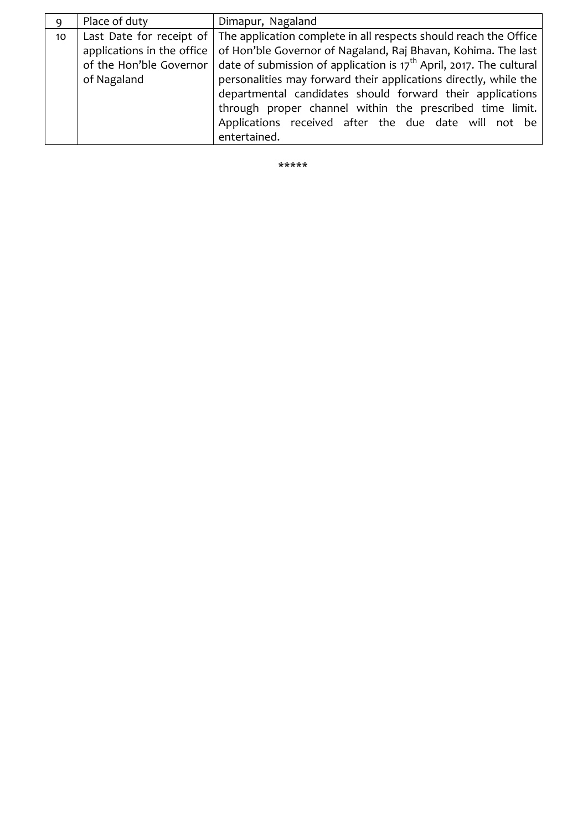| Ω  | Place of duty | Dimapur, Nagaland                                                                                               |  |  |  |  |
|----|---------------|-----------------------------------------------------------------------------------------------------------------|--|--|--|--|
| 10 |               | Last Date for receipt of $\vert$ The application complete in all respects should reach the Office               |  |  |  |  |
|    |               | applications in the office   of Hon'ble Governor of Nagaland, Raj Bhavan, Kohima. The last                      |  |  |  |  |
|    |               | of the Hon'ble Governor $\vert$ date of submission of application is 17 <sup>th</sup> April, 2017. The cultural |  |  |  |  |
|    | of Nagaland   | personalities may forward their applications directly, while the                                                |  |  |  |  |
|    |               | departmental candidates should forward their applications                                                       |  |  |  |  |
|    |               | through proper channel within the prescribed time limit.                                                        |  |  |  |  |
|    |               | Applications received after the due date will not be                                                            |  |  |  |  |
|    |               | entertained.                                                                                                    |  |  |  |  |

\*\*\*\*\*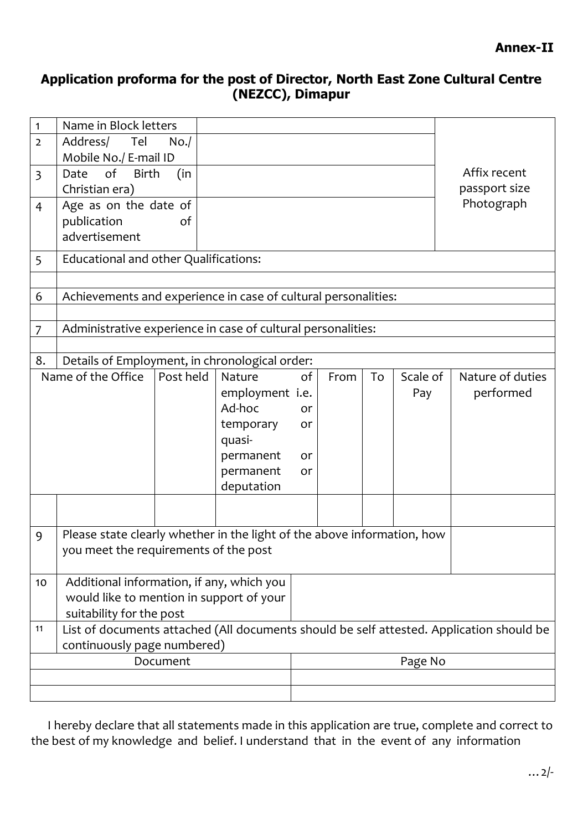## **Application proforma for the post of Director, North East Zone Cultural Centre (NEZCC), Dimapur**

| $\mathbf{1}$                | Name in Block letters                                                                    |           |                 |    |      |    |               |                  |  |
|-----------------------------|------------------------------------------------------------------------------------------|-----------|-----------------|----|------|----|---------------|------------------|--|
| $\overline{2}$              | Address/ Tel                                                                             | No.       |                 |    |      |    |               |                  |  |
|                             | Mobile No./ E-mail ID<br>of<br><b>Birth</b>                                              |           |                 |    |      |    |               | Affix recent     |  |
| $\overline{3}$              | Date<br>Christian era)                                                                   | (in       |                 |    |      |    | passport size |                  |  |
| 4                           | Age as on the date of                                                                    |           |                 |    |      |    |               | Photograph       |  |
|                             | publication                                                                              | of        |                 |    |      |    |               |                  |  |
|                             | advertisement                                                                            |           |                 |    |      |    |               |                  |  |
| 5                           | Educational and other Qualifications:                                                    |           |                 |    |      |    |               |                  |  |
|                             |                                                                                          |           |                 |    |      |    |               |                  |  |
| 6                           | Achievements and experience in case of cultural personalities:                           |           |                 |    |      |    |               |                  |  |
|                             |                                                                                          |           |                 |    |      |    |               |                  |  |
| 7                           | Administrative experience in case of cultural personalities:                             |           |                 |    |      |    |               |                  |  |
| 8.                          | Details of Employment, in chronological order:                                           |           |                 |    |      |    |               |                  |  |
|                             | Name of the Office                                                                       | Post held | Nature          | of | From | To | Scale of      | Nature of duties |  |
|                             |                                                                                          |           | employment i.e. |    |      |    | Pay           | performed        |  |
|                             |                                                                                          |           | Ad-hoc          | or |      |    |               |                  |  |
|                             |                                                                                          |           | temporary       | or |      |    |               |                  |  |
|                             |                                                                                          |           | quasi-          |    |      |    |               |                  |  |
|                             |                                                                                          |           | permanent       | or |      |    |               |                  |  |
|                             |                                                                                          |           | permanent       | or |      |    |               |                  |  |
|                             |                                                                                          |           | deputation      |    |      |    |               |                  |  |
|                             |                                                                                          |           |                 |    |      |    |               |                  |  |
| 9                           | Please state clearly whether in the light of the above information, how                  |           |                 |    |      |    |               |                  |  |
|                             | you meet the requirements of the post                                                    |           |                 |    |      |    |               |                  |  |
| 10                          | Additional information, if any, which you                                                |           |                 |    |      |    |               |                  |  |
|                             | would like to mention in support of your                                                 |           |                 |    |      |    |               |                  |  |
|                             | suitability for the post                                                                 |           |                 |    |      |    |               |                  |  |
| 11                          | List of documents attached (All documents should be self attested. Application should be |           |                 |    |      |    |               |                  |  |
| continuously page numbered) |                                                                                          |           |                 |    |      |    |               |                  |  |
| Document                    |                                                                                          |           |                 |    |      |    | Page No       |                  |  |
|                             |                                                                                          |           |                 |    |      |    |               |                  |  |
|                             |                                                                                          |           |                 |    |      |    |               |                  |  |

 I hereby declare that all statements made in this application are true, complete and correct to the best of my knowledge and belief. I understand that in the event of any information